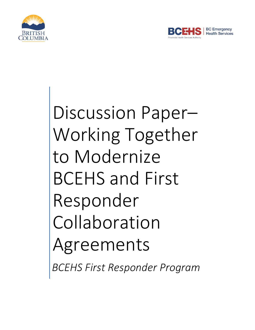



# Discussion Paper– Working Together to Modernize BCEHS and First Responder Collaboration Agreements

*BCEHS First Responder Program*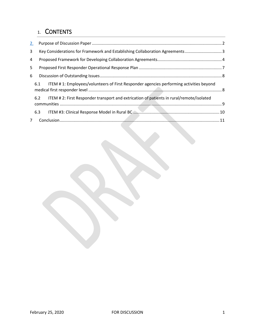## 1. CONTENTS

| 2.           |     |                                                                                         |  |  |
|--------------|-----|-----------------------------------------------------------------------------------------|--|--|
| $\mathbf{3}$ |     | Key Considerations for Framework and Establishing Collaboration Agreements  3           |  |  |
| 4            |     |                                                                                         |  |  |
| 5            |     |                                                                                         |  |  |
| 6            |     |                                                                                         |  |  |
|              | 6.1 | ITEM #1: Employees/volunteers of First Responder agencies performing activities beyond  |  |  |
|              | 6.2 | ITEM #2: First Responder transport and extrication of patients in rural/remote/isolated |  |  |
|              | 6.3 |                                                                                         |  |  |
| $7^{\circ}$  |     |                                                                                         |  |  |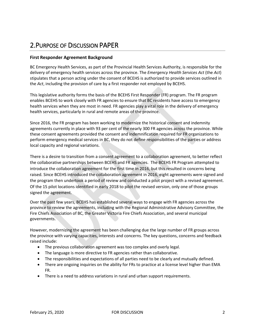## <span id="page-2-0"></span>2.PURPOSE OF DISCUSSION PAPER

#### **First Responder Agreement Background**

BC Emergency Health Services, as part of the Provincial Health Services Authority, is responsible for the delivery of emergency health services across the province. The *Emergency Health Services Act* (the *Act*) stipulates that a person acting under the consent of BCEHS is authorized to provide services outlined in the *Act*, including the provision of care by a first responder not employed by BCEHS.

This legislative authority forms the basis of the BCEHS First Responder (FR) program. The FR program enables BCEHS to work closely with FR agencies to ensure that BC residents have access to emergency health services when they are most in need. FR agencies play a vital role in the delivery of emergency health services, particularly in rural and remote areas of the province.

Since 2016, the FR program has been working to modernize the historical consent and indemnity agreements currently in place with 93 per cent of the nearly 300 FR agencies across the province. While these consent agreements provided the consent and indemnification required for FR organizations to perform emergency medical services in BC, they do not define responsibilities of the parties or address local capacity and regional variations.

There is a desire to transition from a consent agreement to a collaboration agreement, to better reflect the collaborative partnerships between BCEHS and FR agencies. The BCEHS FR Program attempted to introduce the collaboration agreement for the first time in 2016, but this resulted in concerns being raised. Since BCEHS introduced the collaboration agreement in 2016, eight agreements were signed and the program then undertook a period of review and conducted a pilot project with a revised agreement. Of the 15 pilot locations identified in early 2018 to pilot the revised version, only one of those groups signed the agreement.

Over the past few years, BCEHS has established several ways to engage with FR agencies across the province to review the agreements, including with the Regional Administrative Advisory Committee, the Fire Chiefs Association of BC, the Greater Victoria Fire Chiefs Association, and several municipal governments.

However, modernizing the agreement has been challenging due the large number of FR groups across the province with varying capacities, interests and concerns. The key questions, concerns and feedback raised include:

- The previous collaboration agreement was too complex and overly legal.
- The language is more directive to FR agencies rather than collaborative.
- The responsibilities and expectations of all parties need to be clearly and mutually defined.
- There are ongoing inquiries on the ability for FRs to practice at a license level higher than EMA FR.
- There is a need to address variations in rural and urban support requirements.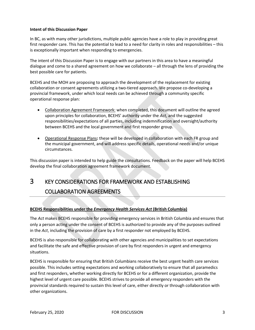#### **Intent of this Discussion Paper**

In BC, as with many other jurisdictions, multiple public agencies have a role to play in providing great first responder care. This has the potential to lead to a need for clarity in roles and responsibilities – this is exceptionally important when responding to emergencies.

The intent of this Discussion Paper is to engage with our partners in this area to have a meaningful dialogue and come to a shared agreement on how we collaborate – all through the lens of providing the best possible care for patients.

BCEHS and the MOH are proposing to approach the development of the replacement for existing collaboration or consent agreements utilizing a two-tiered approach. We propose co-developing a provincial framework, under which local needs can be achieved through a community specific operational response plan:

- Collaboration Agreement Framework: when completed, this document will outline the agreed upon principles for collaboration, BCEHS' authority under the *Act*, and the suggested responsibilities/expectations of all parties, including indemnification and oversight/authority between BCEHS and the local government and first responder group.
- Operational Response Plans**:** these will be developed in collaboration with each FR group and the municipal government, and will address specific details, operational needs and/or unique circumstances.

This discussion paper is intended to help guide the consultations. Feedback on the paper will help BCEHS develop the final collaboration agreement framework document.

## <span id="page-3-0"></span>3 KEY CONSIDERATIONS FOR FRAMEWORK AND ESTABLISHING COLLABORATION AGREEMENTS

#### **BCEHS Responsibilities under the** *Emergency Health Services Act* **(British Columbia)**

The *Act* makes BCEHS responsible for providing emergency services in British Columbia and ensures that only a person acting under the consent of BCEHS is authorized to provide any of the purposes outlined in the *Act*, including the provision of care by a first responder not employed by BCEHS.

BCEHS is also responsible for collaborating with other agencies and municipalities to set expectations and facilitate the safe and effective provision of care by first responders in urgent and emergency situations.

BCEHS is responsible for ensuring that British Columbians receive the best urgent health care services possible. This includes setting expectations and working collaboratively to ensure that all paramedics and first responders, whether working directly for BCEHS or for a different organization, provide the highest level of urgent care possible. BCEHS strives to provide all emergency responders with the provincial standards required to sustain this level of care, either directly or through collaboration with other organizations.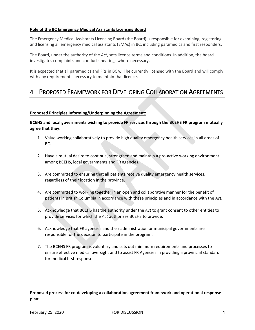#### **Role of the BC Emergency Medical Assistants Licensing Board**

The Emergency Medical Assistants Licensing Board (the Board) is responsible for examining, registering and licensing all emergency medical assistants (EMAs) in BC, including paramedics and first responders.

The Board, under the authority of the *Act*, sets licence terms and conditions. In addition, the board investigates complaints and conducts hearings where necessary.

It is expected that all paramedics and FRs in BC will be currently licensed with the Board and will comply with any requirements necessary to maintain that licence.

## <span id="page-4-0"></span>4 PROPOSED FRAMEWORK FOR DEVELOPING COLLABORATION AGREEMENTS

#### **Proposed Principles Informing/Underpinning the Agreement:**

**BCEHS and local governments wishing to provide FR services through the BCEHS FR program mutually agree that they:**

- 1. Value working collaboratively to provide high quality emergency health services in all areas of BC.
- 2. Have a mutual desire to continue, strengthen and maintain a pro-active working environment among BCEHS, local governments and FR agencies.
- 3. Are committed to ensuring that all patients receive quality emergency health services, regardless of their location in the province.
- 4. Are committed to working together in an open and collaborative manner for the benefit of patients in British Columbia in accordance with these principles and in accordance with the *Act.*
- 5. Acknowledge that BCEHS has the authority under the *Act* to grant consent to other entities to provide services for which the *Act* authorizes BCEHS to provide.
- 6. Acknowledge that FR agencies and their administration or municipal governments are responsible for the decision to participate in the program.
- 7. The BCEHS FR program is voluntary and sets out minimum requirements and processes to ensure effective medical oversight and to assist FR Agencies in providing a provincial standard for medical first response.

#### **Proposed process for co-developing a collaboration agreement framework and operational response plan:**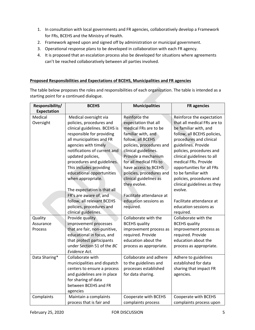- 1. In consultation with local governments and FR agencies, collaboratively develop a Framework for FRs, BCEHS and the Ministry of Health.
- 2. Framework agreed upon and signed off by administration or municipal government.
- 3. Operational response plans to be developed in collaboration with each FR agency.
- 4. It is proposed that an escalation process also be developed for situations where agreements can't be reached collaboratively between all parties involved.

#### **Proposed Responsibilities and Expectations of BCEHS, Municipalities and FR agencies**

The table below proposes the roles and responsibilities of each organization. The table is intended as a starting point for a continued dialogue.

| Responsibility/ | <b>BCEHS</b>                  | <b>Municipalities</b>    | <b>FR</b> agencies          |
|-----------------|-------------------------------|--------------------------|-----------------------------|
| Expectation     |                               |                          |                             |
| Medical         | Medical oversight via         | Reinforce the            | Reinforce the expectation   |
| Oversight       | policies, procedures and      | expectation that all     | that all medical FRs are to |
|                 | clinical guidelines. BCEHS is | medical FRs are to be    | be familiar with, and       |
|                 | responsible for providing     | familiar with, and       | follow, all BCEHS policies, |
|                 | all municipalities and FR     | follow, all BCEHS        | procedures and clinical     |
|                 | agencies with timely          | policies, procedures and | guidelines. Provide         |
|                 | notifications of current and  | clinical guidelines.     | policies, procedures and    |
|                 | updated policies,             | Provide a mechanism      | clinical guidelines to all  |
|                 | procedures and guidelines.    | for all medical FRs to   | medical FRs. Provide        |
|                 | This includes providing       | have access to BCEHS     | opportunities for all FRs   |
|                 | educational opportunities     | policies, procedures and | to be familiar with         |
|                 | when appropriate.             | clinical guidelines as   | policies, procedures and    |
|                 |                               | they evolve.             | clinical guidelines as they |
|                 | The expectation is that all   |                          | evolve.                     |
|                 | FR's are aware of, and        | Facilitate attendance at |                             |
|                 | follow, all relevant BCEHS    | education sessions as    | Facilitate attendance at    |
|                 | policies, procedures and      | required.                | education sessions as       |
|                 | clinical guidelines.          |                          | required.                   |
| Quality         | Provide quality               | Collaborate with the     | Collaborate with the        |
| Assurance       | improvement processes         | <b>BCEHS</b> quality     | <b>BCEHS</b> quality        |
| Process         | that are fair, non-punitive,  | improvement process as   | improvement process as      |
|                 | educational in focus, and     | required. Provide        | required. Provide           |
|                 | that protect participants     | education about the      | education about the         |
|                 | under Section 51 of the BC    | process as appropriate.  | process as appropriate.     |
|                 | Evidence Act.                 |                          |                             |
| Data Sharing*   | Collaborate with              | Collaborate and adhere   | Adhere to guidelines        |
|                 | municipalities and dispatch   | to the guidelines and    | established for data        |
|                 | centers to ensure a process   | processes established    | sharing that impact FR      |
|                 | and guidelines are in place   | for data sharing.        | agencies.                   |
|                 | for sharing of data           |                          |                             |
|                 | between BCEHS and FR          |                          |                             |
|                 | agencies                      |                          |                             |
| Complaints      | Maintain a complaints         | Cooperate with BCEHS     | Cooperate with BCEHS        |
|                 | process that is fair and      | complaints process       | complaints process upon     |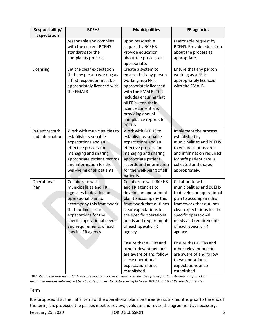| Responsibility/                    | <b>BCEHS</b>                                                                                                                                                                                                                                           | <b>Municipalities</b>                                                                                                                                                                                                                                                                                                                                                                          | <b>FR</b> agencies                                                                                                                                                                                                                                                                                                                                                                         |
|------------------------------------|--------------------------------------------------------------------------------------------------------------------------------------------------------------------------------------------------------------------------------------------------------|------------------------------------------------------------------------------------------------------------------------------------------------------------------------------------------------------------------------------------------------------------------------------------------------------------------------------------------------------------------------------------------------|--------------------------------------------------------------------------------------------------------------------------------------------------------------------------------------------------------------------------------------------------------------------------------------------------------------------------------------------------------------------------------------------|
| <b>Expectation</b>                 |                                                                                                                                                                                                                                                        |                                                                                                                                                                                                                                                                                                                                                                                                |                                                                                                                                                                                                                                                                                                                                                                                            |
|                                    | reasonable and complies<br>with the current BCEHS<br>standards for the<br>complaints process.                                                                                                                                                          | upon reasonable<br>request by BCEHS.<br>Provide education<br>about the process as<br>appropriate.                                                                                                                                                                                                                                                                                              | reasonable request by<br><b>BCEHS. Provide education</b><br>about the process as<br>appropriate.                                                                                                                                                                                                                                                                                           |
| Licensing                          | Set the clear expectation<br>that any person working as<br>a first responder must be<br>appropriately licenced with<br>the EMALB.                                                                                                                      | Create a system to<br>ensure that any person<br>working as a FR is<br>appropriately licenced<br>with the EMALB. This<br>includes ensuring that<br>all FR's keep their<br>licence current and<br>providing annual<br>compliance reports to<br><b>BCEHS</b>                                                                                                                                      | Ensure that any person<br>working as a FR is<br>appropriately licenced<br>with the EMALB.                                                                                                                                                                                                                                                                                                  |
| Patient records<br>and information | Work with municipalities to<br>establish reasonable<br>expectations and an<br>effective process for<br>managing and sharing<br>appropriate patient records<br>and information for the<br>well-being of all patients.                                   | Work with BCEHS to<br>establish reasonable<br>expectations and an<br>effective process for<br>managing and sharing<br>appropriate patient<br>records and information<br>for the well-being of all<br>patients.                                                                                                                                                                                 | Implement the process<br>established by<br>municipalities and BCEHS<br>to ensure that records<br>and information required<br>for safe patient care is<br>collected and shared<br>appropriately.                                                                                                                                                                                            |
| Operational<br>Plan                | Collaborate with<br>municipalities and FR<br>agencies to develop an<br>operational plan to<br>accompany this framework<br>that outlines clear<br>expectations for the<br>specific operational needs<br>and requirements of each<br>specific FR agency. | <b>Collaborate with BCEHS</b><br>and FR agencies to<br>develop an operational<br>plan to accompany this<br>framework that outlines<br>clear expectations for<br>the specific operational<br>needs and requirements<br>of each specific FR<br>agency.<br>Ensure that all FRs and<br>other relevant persons<br>are aware of and follow<br>these operational<br>expectations once<br>established. | Collaborate with<br>municipalities and BCEHS<br>to develop an operational<br>plan to accompany this<br>framework that outlines<br>clear expectations for the<br>specific operational<br>needs and requirements<br>of each specific FR<br>agency.<br>Ensure that all FRs and<br>other relevant persons<br>are aware of and follow<br>these operational<br>expectations once<br>established. |

*\*BCEHS has established a BCEHS First Responder working group to review the options for data sharing and providing recommendations with respect to a broader process for data sharing between BCHES and First Responder agencies.* 

#### **Term**

It is proposed that the initial term of the operational plans be three years. Six months prior to the end of the term, it is proposed the parties meet to review, evaluate and revise the agreement as necessary.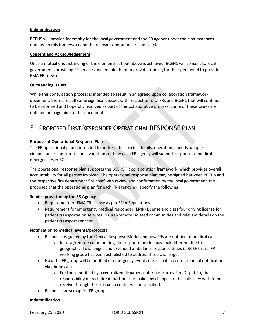#### **Indemnification**

BCEHS will provide indemnity for the local government and the FR agency under the circumstances outlined in this framework and the relevant operational response plan.

#### **Consent and Acknowledgement**

Once a mutual understanding of the elements set out above is achieved, BCEHS will consent to local governments providing FR services and enable them to provide training for their personnel to provide EMA FR services.

#### **Outstanding Issues**

While this consultation process is intended to result in an agreed upon collaboration framework document, there are still some significant issues with respect to rural FRs and BCEHS that will continue to be informed and hopefully resolved as part of this collaborative process. Some of these issues are outlined on page nine of this document.

## <span id="page-7-0"></span>5 PROPOSED FIRST RESPONDER OPERATIONAL RESPONSE PLAN

#### **Purpose of Operational Response Plan**

The FR operational plan is intended to address the specific details, operational needs, unique circumstances, and/or regional variations of how each FR agency will support response to medical emergencies in BC.

The operational response plan supports the BCEHS FR collaboration framework, which provides overall accountability for all parties involved. The operational response plan may be signed between BCEHS and the respective fire department fire chief with review and confirmation by the local government. It is proposed that the operational plan for each FR agency will specify the following:

#### **Service provision by the FR Agency**

- Requirement for EMA FR license as per EMA Regulations.
- Requirement for emergency medical responder (EMR) License and class four driving license for patient transportation services in rural/remote isolated communities and relevant details on the patient transport services

#### **Notification to medical events/protocols**

- Response is guided by the Clinical Response Model and how FRs are notified of medical calls.
	- o In rural/remote communities, the response model may look different due to geographical challenges and extended ambulance response times (a BCEHS rural FR working group has been established to address these challenges)
- How the FR group will be notified of emergency events (i.e. dispatch center, manual notification via phone call)
	- o For those notified by a centralized dispatch center (i.e. Surrey Fire Dispatch), the responsibility of each fire department to make any changes to the calls they wish to not receive through their dispatch center will be specified.
- Response area map for FR group.

#### **Indemnification**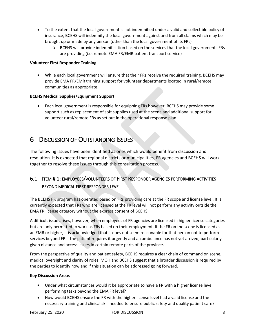- To the extent that the local government is not indemnified under a valid and collectible policy of insurance, BCEHS will indemnify the local government against and from all claims which may be brought up or made by any person (other than the local government of its FRs)
	- o BCEHS will provide indemnification based on the services that the local governments FRs are providing (i.e. remote EMA FR/EMR patient transport service)

#### **Volunteer First Responder Training**

• While each local government will ensure that their FRs receive the required training, BCEHS may provide EMA FR/EMR training support for volunteer departments located in rural/remote communities as appropriate.

#### **BCEHS Medical Supplies/Equipment Support**

• Each local government is responsible for equipping FRs however, BCEHS may provide some support such as replacement of soft supplies used at the scene and additional support for volunteer rural/remote FRs as set out in the operational response plan.

## <span id="page-8-0"></span>6 DISCUSSION OF OUTSTANDING ISSUES

The following issues have been identified as ones which would benefit from discussion and resolution. It is expected that regional districts or municipalities, FR agencies and BCEHS will work together to resolve these issues through this consultation process.

## <span id="page-8-1"></span>6.1 ITEM # 1: EMPLOYEES/VOLUNTEERS OF FIRST RESPONDER AGENCIES PERFORMING ACTIVITIES BEYOND MEDICAL FIRST RESPONDER LEVEL

The BCEHS FR program has operated based on FRs providing care at the FR scope and license level. It is currently expected that FRs who are licensed at the FR level will not perform any activity outside the EMA FR license category without the express consent of BCEHS.

A difficult issue arises, however, when employees of FR agencies are licensed in higher license categories but are only permitted to work as FRs based on their employment. If the FR on the scene is licensed as an EMR or higher, it is acknowledged that it does not seem reasonable for that person not to perform services beyond FR if the patient requires it urgently and an ambulance has not yet arrived, particularly given distance and access issues in certain remote parts of the province.

From the perspective of quality and patient safety, BCEHS requires a clear chain of command on scene, medical oversight and clarity of roles. MOH and BCEHS suggest that a broader discussion is required by the parties to identify how and if this situation can be addressed going forward.

#### **Key Discussion Areas**

- Under what circumstances would it be appropriate to have a FR with a higher license level performing tasks beyond the EMA FR level?
- How would BCEHS ensure the FR with the higher license level had a valid license and the necessary training and clinical skill needed to ensure public safety and quality patient care?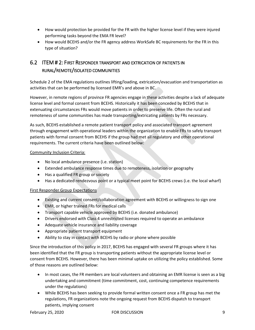- How would protection be provided for the FR with the higher license level if they were injured performing tasks beyond the EMA FR level?
- How would BCEHS and/or the FR agency address WorkSafe BC requirements for the FR in this type of situation?

## <span id="page-9-0"></span>6.2 ITEM # 2: FIRST RESPONDER TRANSPORT AND EXTRICATION OF PATIENTS IN RURAL/REMOTE/ISOLATED COMMUNITIES

Schedule 2 of the EMA regulations outlines lifting/loading, extrication/evacuation and transportation as activities that can be performed by licensed EMR's and above in BC.

However, in remote regions of province FR agencies engage in these activities despite a lack of adequate license level and formal consent from BCEHS. Historically it has been conceded by BCEHS that in extenuating circumstances FRs would move patients in order to preserve life. Often the rural and remoteness of some communities has made transporting/extricating patients by FRs necessary.

As such, BCEHS established a remote patient transport policy and associated transport agreement through engagement with operational leaders within the organization to enable FRs to safely transport patients with formal consent from BCEHS if the group had met all regulatory and other operational requirements. The current criteria have been outlined below:

#### Community Inclusion Criteria:

- No local ambulance presence (i.e. station)
- Extended ambulance response times due to remoteness, isolation or geography
- Has a qualified FR group or society
- Has a dedicated rendezvous point or a typical meet point for BCEHS crews (i.e. the local wharf)

#### First Responder Group Expectations

- Existing and current consent/collaboration agreement with BCEHS or willingness to sign one
- EMR, or higher trained FRs for medical calls
- Transport capable vehicle approved by BCEHS (i.e. donated ambulance)
- Drivers endorsed with Class 4 unrestricted licenses required to operate an ambulance
- Adequate vehicle insurance and liability coverage
- Appropriate patient transport equipment
- Ability to stay in contact with BCEHS by radio or phone where possible

Since the introduction of this policy in 2017, BCEHS has engaged with several FR groups where it has been identified that the FR group is transporting patients without the appropriate license level or consent from BCEHS. However, there has been minimal uptake on utilizing the policy established. Some of those reasons are outlined below:

- In most cases, the FR members are local volunteers and obtaining an EMR license is seen as a big undertaking and commitment (time commitment, cost, continuing competence requirements under the regulations)
- While BCEHS has been seeking to provide formal written consent once a FR group has met the regulations, FR organizations note the ongoing request from BCEHS dispatch to transport patients, implying consent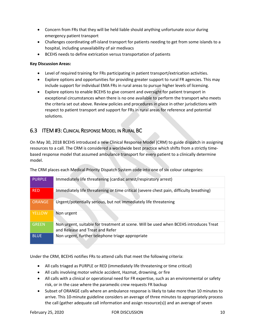- Concern from FRs that they will be held liable should anything unfortunate occur during emergency patient transport
- Challenges coordinating off-island transport for patients needing to get from some islands to a hospital, including unavailability of air medivacs
- BCEHS needs to define extrication versus transportation of patients

#### **Key Discussion Areas:**

- Level of required training for FRs participating in patient transport/extrication activities.
- Explore options and opportunities for providing greater support to rural FR agencies. This may include support for individual EMA FRs in rural areas to pursue higher levels of licensing.
- Explore options to enable BCEHS to give consent and oversight for patient transport in exceptional circumstances when there is no one available to perform the transport who meets the criteria set out above. Review policies and procedures in place in other jurisdictions with respect to patient transport and support for FRs in rural areas for reference and potential solutions.

### <span id="page-10-0"></span>6.3 ITEM #3: CLINICAL RESPONSE MODEL IN RURAL BC

On May 30, 2018 BCEHS introduced a new Clinical Response Model (CRM) to guide dispatch in assigning resources to a call. The CRM is considered a worldwide best practice which shifts from a strictly timebased response model that assumed ambulance transport for every patient to a clinically determine model.

The CRM places each Medical Priority Dispatch System code into one of six colour categories:

| <b>PURPLE</b> | Immediately life threatening (cardiac arrest/respiratory arrest)                                                         |
|---------------|--------------------------------------------------------------------------------------------------------------------------|
| <b>RED</b>    | Immediately life threatening or time critical (severe chest pain, difficulty breathing)                                  |
| <b>ORANGE</b> | Urgent/potentially serious, but not immediately life threatening                                                         |
| <b>YELLOW</b> | Non urgent                                                                                                               |
| <b>GREEN</b>  | Non urgent, suitable for treatment at scene. Will be used when BCEHS introduces Treat<br>and Release and Treat and Refer |
| <b>BLUE</b>   | Non urgent, further telephone triage appropriate                                                                         |

Under the CRM, BCEHS notifies FRs to attend calls that meet the following criteria:

- All calls triaged as PURPLE or RED (immediately life threatening or time critical)
- All calls involving motor vehicle accident, Hazmat, drowning, or fire
- All calls with a clinical or operational need for FR expertise, such as an environmental or safety risk, or in the case where the paramedic crew requests FR backup
- Subset of ORANGE calls where an ambulance response is likely to take more than 10 minutes to arrive. This 10-minute guideline considers an average of three minutes to appropriately process the call (gather adequate call information and assign resource(s)) and an average of seven